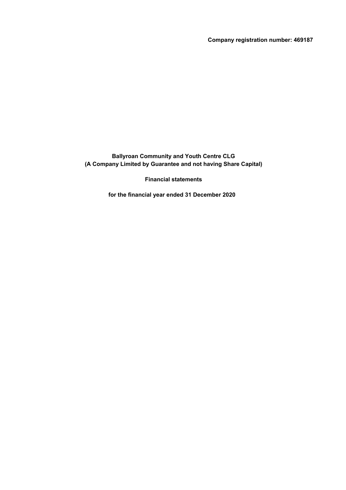**Company registration number: 469187**

**Ballyroan Community and Youth Centre CLG (A Company Limited by Guarantee and not having Share Capital)**

**Financial statements**

**for the financial year ended 31 December 2020**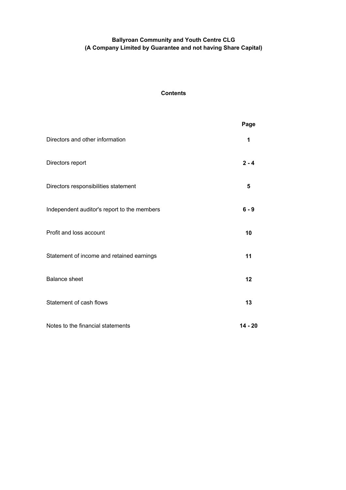# **Contents**

|                                             | Page      |
|---------------------------------------------|-----------|
| Directors and other information             | 1         |
| Directors report                            | $2 - 4$   |
| Directors responsibilities statement        | 5         |
| Independent auditor's report to the members | $6 - 9$   |
| Profit and loss account                     | 10        |
| Statement of income and retained earnings   | 11        |
| <b>Balance sheet</b>                        | 12        |
| Statement of cash flows                     | 13        |
| Notes to the financial statements           | $14 - 20$ |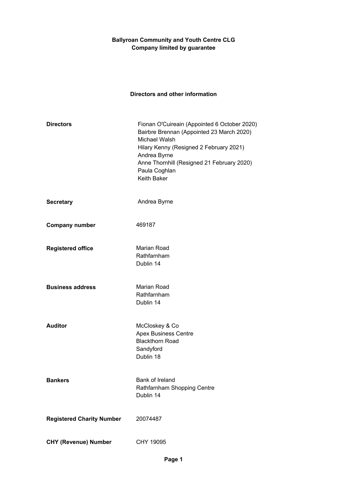# **Ballyroan Community and Youth Centre CLG Company limited by guarantee**

# **Directors and other information**

| <b>Directors</b>                 | Fionan O'Cuireain (Appointed 6 October 2020)<br>Bairbre Brennan (Appointed 23 March 2020)<br>Michael Walsh<br>Hilary Kenny (Resigned 2 February 2021)<br>Andrea Byrne<br>Anne Thornhill (Resigned 21 February 2020)<br>Paula Coghlan<br>Keith Baker |
|----------------------------------|-----------------------------------------------------------------------------------------------------------------------------------------------------------------------------------------------------------------------------------------------------|
| <b>Secretary</b>                 | Andrea Byrne                                                                                                                                                                                                                                        |
| <b>Company number</b>            | 469187                                                                                                                                                                                                                                              |
| <b>Registered office</b>         | Marian Road<br>Rathfarnham<br>Dublin 14                                                                                                                                                                                                             |
| <b>Business address</b>          | Marian Road<br>Rathfarnham<br>Dublin 14                                                                                                                                                                                                             |
| <b>Auditor</b>                   | McCloskey & Co<br><b>Apex Business Centre</b><br><b>Blackthorn Road</b><br>Sandyford<br>Dublin 18                                                                                                                                                   |
| <b>Bankers</b>                   | Bank of Ireland<br>Rathfarnham Shopping Centre<br>Dublin 14                                                                                                                                                                                         |
| <b>Registered Charity Number</b> | 20074487                                                                                                                                                                                                                                            |
| <b>CHY (Revenue) Number</b>      | CHY 19095                                                                                                                                                                                                                                           |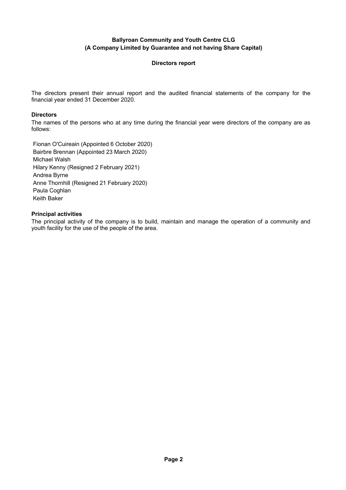## **Directors report**

The directors present their annual report and the audited financial statements of the company for the financial year ended 31 December 2020.

### **Directors**

The names of the persons who at any time during the financial year were directors of the company are as follows:

 Fionan O'Cuireain (Appointed 6 October 2020) Bairbre Brennan (Appointed 23 March 2020) Michael Walsh Hilary Kenny (Resigned 2 February 2021) Andrea Byrne Anne Thornhill (Resigned 21 February 2020) Paula Coghlan Keith Baker

## **Principal activities**

The principal activity of the company is to build, maintain and manage the operation of a community and youth facility for the use of the people of the area.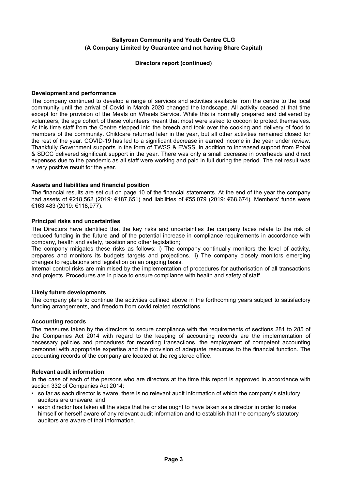### **Directors report (continued)**

### **Development and performance**

The company continued to develop a range of services and activities available from the centre to the local community until the arrival of Covid in March 2020 changed the landscape. All activity ceased at that time except for the provision of the Meals on Wheels Service. While this is normally prepared and delivered by volunteers, the age cohort of these volunteers meant that most were asked to cocoon to protect themselves. At this time staff from the Centre stepped into the breech and took over the cooking and delivery of food to members of the community. Childcare returned later in the year, but all other activities remained closed for the rest of the year. COVID-19 has led to a significant decrease in earned income in the year under review. Thankfully Government supports in the form of TWSS & EWSS, in addition to increased support from Pobal & SDCC delivered significant support in the year. There was only a small decrease in overheads and direct expenses due to the pandemic as all staff were working and paid in full during the period. The net result was a very positive result for the year.

### **Assets and liabilities and financial position**

The financial results are set out on page 10 of the financial statements. At the end of the year the company had assets of €218,562 (2019: €187,651) and liabilities of €55,079 (2019: €68,674). Members' funds were €163,483 (2019: €118,977).

### **Principal risks and uncertainties**

The Directors have identified that the key risks and uncertainties the company faces relate to the risk of reduced funding in the future and of the potential increase in compliance requirements in accordance with company, health and safety, taxation and other legislation;

The company mitigates these risks as follows: i) The company continually monitors the level of activity, prepares and monitors its budgets targets and projections. ii) The company closely monitors emerging changes to regulations and legislation on an ongoing basis.

Internal control risks are minimised by the implementation of procedures for authorisation of all transactions and projects. Procedures are in place to ensure compliance with health and safety of staff.

### **Likely future developments**

The company plans to continue the activities outlined above in the forthcoming years subject to satisfactory funding arrangements, and freedom from covid related restrictions.

### **Accounting records**

The measures taken by the directors to secure compliance with the requirements of sections 281 to 285 of the Companies Act 2014 with regard to the keeping of accounting records are the implementation of necessary policies and procedures for recording transactions, the employment of competent accounting personnel with appropriate expertise and the provision of adequate resources to the financial function. The accounting records of the company are located at the registered office.

### **Relevant audit information**

In the case of each of the persons who are directors at the time this report is approved in accordance with section 332 of Companies Act 2014:

- so far as each director is aware, there is no relevant audit information of which the company's statutory auditors are unaware, and
- each director has taken all the steps that he or she ought to have taken as a director in order to make himself or herself aware of any relevant audit information and to establish that the company's statutory auditors are aware of that information.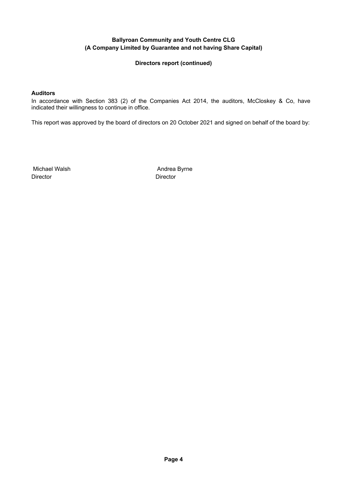## **Directors report (continued)**

### **Auditors**

In accordance with Section 383 (2) of the Companies Act 2014, the auditors, McCloskey & Co, have indicated their willingness to continue in office.

This report was approved by the board of directors on 20 October 2021 and signed on behalf of the board by:

Michael Walsh **Andrea Byrne** Director Director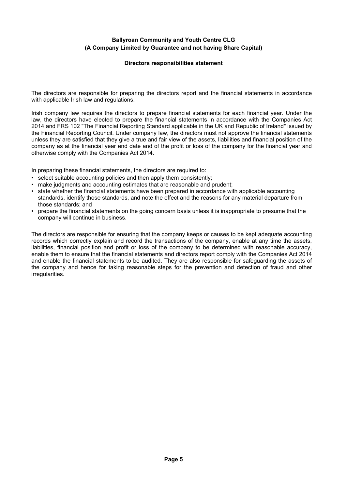### **Directors responsibilities statement**

The directors are responsible for preparing the directors report and the financial statements in accordance with applicable Irish law and regulations.

Irish company law requires the directors to prepare financial statements for each financial year. Under the law, the directors have elected to prepare the financial statements in accordance with the Companies Act 2014 and FRS 102 "The Financial Reporting Standard applicable in the UK and Republic of Ireland" issued by the Financial Reporting Council. Under company law, the directors must not approve the financial statements unless they are satisfied that they give a true and fair view of the assets, liabilities and financial position of the company as at the financial year end date and of the profit or loss of the company for the financial year and otherwise comply with the Companies Act 2014.

In preparing these financial statements, the directors are required to:

- select suitable accounting policies and then apply them consistently;
- make judgments and accounting estimates that are reasonable and prudent;
- state whether the financial statements have been prepared in accordance with applicable accounting standards, identify those standards, and note the effect and the reasons for any material departure from those standards; and
- prepare the financial statements on the going concern basis unless it is inappropriate to presume that the company will continue in business.

The directors are responsible for ensuring that the company keeps or causes to be kept adequate accounting records which correctly explain and record the transactions of the company, enable at any time the assets, liabilities, financial position and profit or loss of the company to be determined with reasonable accuracy, enable them to ensure that the financial statements and directors report comply with the Companies Act 2014 and enable the financial statements to be audited. They are also responsible for safeguarding the assets of the company and hence for taking reasonable steps for the prevention and detection of fraud and other irregularities.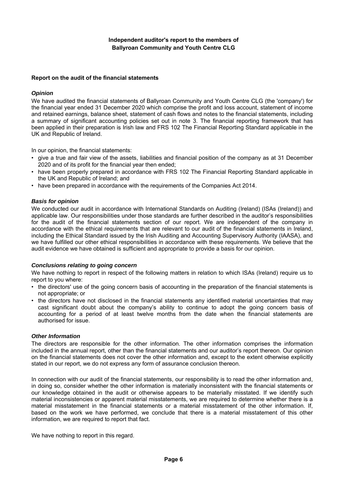## **Independent auditor's report to the members of Ballyroan Community and Youth Centre CLG**

### **Report on the audit of the financial statements**

### *Opinion*

We have audited the financial statements of Ballyroan Community and Youth Centre CLG (the 'company') for the financial year ended 31 December 2020 which comprise the profit and loss account, statement of income and retained earnings, balance sheet, statement of cash flows and notes to the financial statements, including a summary of significant accounting policies set out in note 3. The financial reporting framework that has been applied in their preparation is Irish law and FRS 102 The Financial Reporting Standard applicable in the UK and Republic of Ireland.

In our opinion, the financial statements:

- give a true and fair view of the assets, liabilities and financial position of the company as at 31 December 2020 and of its profit for the financial year then ended;
- have been properly prepared in accordance with FRS 102 The Financial Reporting Standard applicable in the UK and Republic of Ireland; and
- have been prepared in accordance with the requirements of the Companies Act 2014.

### *Basis for opinion*

We conducted our audit in accordance with International Standards on Auditing (Ireland) (ISAs (Ireland)) and applicable law. Our responsibilities under those standards are further described in the auditor's responsibilities for the audit of the financial statements section of our report. We are independent of the company in accordance with the ethical requirements that are relevant to our audit of the financial statements in Ireland, including the Ethical Standard issued by the Irish Auditing and Accounting Supervisory Authority (IAASA), and we have fulfilled our other ethical responsibilities in accordance with these requirements. We believe that the audit evidence we have obtained is sufficient and appropriate to provide a basis for our opinion.

### *Conclusions relating to going concern*

We have nothing to report in respect of the following matters in relation to which ISAs (Ireland) require us to report to you where:

- the directors' use of the going concern basis of accounting in the preparation of the financial statements is not appropriate; or
- the directors have not disclosed in the financial statements any identified material uncertainties that may cast significant doubt about the company's ability to continue to adopt the going concern basis of accounting for a period of at least twelve months from the date when the financial statements are authorised for issue.

### *Other Information*

The directors are responsible for the other information. The other information comprises the information included in the annual report, other than the financial statements and our auditor's report thereon. Our opinion on the financial statements does not cover the other information and, except to the extent otherwise explicitly stated in our report, we do not express any form of assurance conclusion thereon.

In connection with our audit of the financial statements, our responsibility is to read the other information and, in doing so, consider whether the other information is materially inconsistent with the financial statements or our knowledge obtained in the audit or otherwise appears to be materially misstated. If we identify such material inconsistencies or apparent material misstatements, we are required to determine whether there is a material misstatement in the financial statements or a material misstatement of the other information. If, based on the work we have performed, we conclude that there is a material misstatement of this other information, we are required to report that fact.

We have nothing to report in this regard.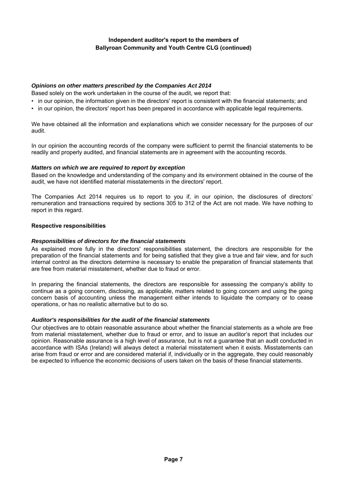# **Independent auditor's report to the members of Ballyroan Community and Youth Centre CLG (continued)**

## *Opinions on other matters prescribed by the Companies Act 2014*

Based solely on the work undertaken in the course of the audit, we report that:

- in our opinion, the information given in the directors' report is consistent with the financial statements; and
- in our opinion, the directors' report has been prepared in accordance with applicable legal requirements.

We have obtained all the information and explanations which we consider necessary for the purposes of our audit.

In our opinion the accounting records of the company were sufficient to permit the financial statements to be readily and properly audited, and financial statements are in agreement with the accounting records.

### *Matters on which we are required to report by exception*

Based on the knowledge and understanding of the company and its environment obtained in the course of the audit, we have not identified material misstatements in the directors' report.

The Companies Act 2014 requires us to report to you if, in our opinion, the disclosures of directors' remuneration and transactions required by sections 305 to 312 of the Act are not made. We have nothing to report in this regard.

### **Respective responsibilities**

### *Responsibilities of directors for the financial statements*

As explained more fully in the directors' responsibilities statement, the directors are responsible for the preparation of the financial statements and for being satisfied that they give a true and fair view, and for such internal control as the directors determine is necessary to enable the preparation of financial statements that are free from material misstatement, whether due to fraud or error.

In preparing the financial statements, the directors are responsible for assessing the company's ability to continue as a going concern, disclosing, as applicable, matters related to going concern and using the going concern basis of accounting unless the management either intends to liquidate the company or to cease operations, or has no realistic alternative but to do so.

### *Auditor's responsibilities for the audit of the financial statements*

Our objectives are to obtain reasonable assurance about whether the financial statements as a whole are free from material misstatement, whether due to fraud or error, and to issue an auditor's report that includes our opinion. Reasonable assurance is a high level of assurance, but is not a guarantee that an audit conducted in accordance with ISAs (Ireland) will always detect a material misstatement when it exists. Misstatements can arise from fraud or error and are considered material if, individually or in the aggregate, they could reasonably be expected to influence the economic decisions of users taken on the basis of these financial statements.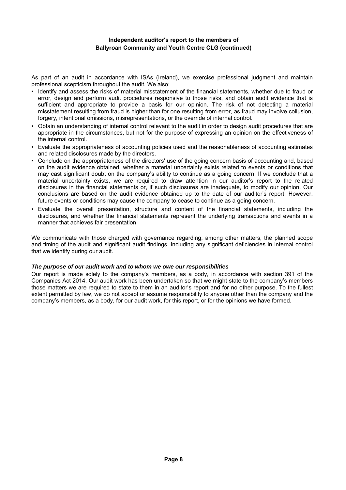## **Independent auditor's report to the members of Ballyroan Community and Youth Centre CLG (continued)**

As part of an audit in accordance with ISAs (Ireland), we exercise professional judgment and maintain professional scepticism throughout the audit. We also:

- Identify and assess the risks of material misstatement of the financial statements, whether due to fraud or error, design and perform audit procedures responsive to those risks, and obtain audit evidence that is sufficient and appropriate to provide a basis for our opinion. The risk of not detecting a material misstatement resulting from fraud is higher than for one resulting from error, as fraud may involve collusion, forgery, intentional omissions, misrepresentations, or the override of internal control.
- Obtain an understanding of internal control relevant to the audit in order to design audit procedures that are appropriate in the circumstances, but not for the purpose of expressing an opinion on the effectiveness of the internal control.
- Evaluate the appropriateness of accounting policies used and the reasonableness of accounting estimates and related disclosures made by the directors.
- Conclude on the appropriateness of the directors' use of the going concern basis of accounting and, based on the audit evidence obtained, whether a material uncertainty exists related to events or conditions that may cast significant doubt on the company's ability to continue as a going concern. If we conclude that a material uncertainty exists, we are required to draw attention in our auditor's report to the related disclosures in the financial statements or, if such disclosures are inadequate, to modify our opinion. Our conclusions are based on the audit evidence obtained up to the date of our auditor's report. However, future events or conditions may cause the company to cease to continue as a going concern.
- Evaluate the overall presentation, structure and content of the financial statements, including the disclosures, and whether the financial statements represent the underlying transactions and events in a manner that achieves fair presentation.

We communicate with those charged with governance regarding, among other matters, the planned scope and timing of the audit and significant audit findings, including any significant deficiencies in internal control that we identify during our audit.

## *The purpose of our audit work and to whom we owe our responsibilities*

Our report is made solely to the company's members, as a body, in accordance with section 391 of the Companies Act 2014. Our audit work has been undertaken so that we might state to the company's members those matters we are required to state to them in an auditor's report and for no other purpose. To the fullest extent permitted by law, we do not accept or assume responsibility to anyone other than the company and the company's members, as a body, for our audit work, for this report, or for the opinions we have formed.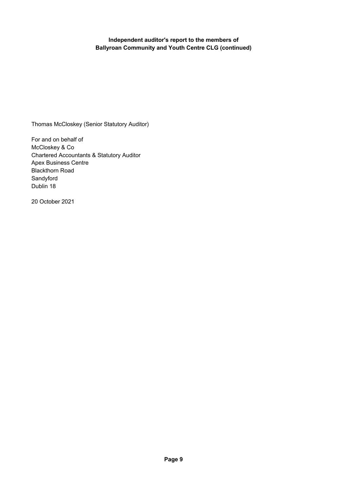# **Independent auditor's report to the members of Ballyroan Community and Youth Centre CLG (continued)**

Thomas McCloskey (Senior Statutory Auditor)

For and on behalf of McCloskey & Co Chartered Accountants & Statutory Auditor Apex Business Centre Blackthorn Road Sandyford Dublin 18

20 October 2021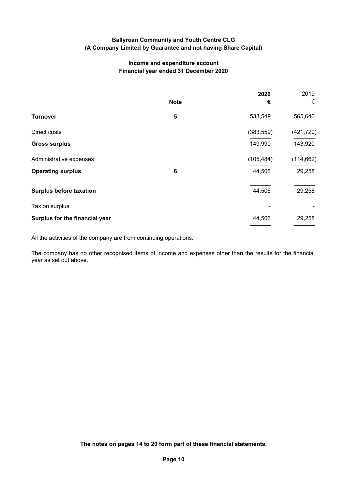## **Income and expenditure account Financial year ended 31 December 2020**

|                                |             | 2020       | 2019       |
|--------------------------------|-------------|------------|------------|
|                                | <b>Note</b> | €          | €          |
| Turnover                       | 5           | 533,549    | 565,640    |
| Direct costs                   |             | (383, 559) | (421, 720) |
| <b>Gross surplus</b>           |             | 149,990    | 143,920    |
| Administrative expenses        |             | (105, 484) | (114, 662) |
| <b>Operating surplus</b>       | 6           | 44,506     | 29,258     |
| <b>Surplus before taxation</b> |             | 44,506     | 29,258     |
| Tax on surplus                 |             |            |            |
| Surplus for the financial year |             | 44,506     | 29,258     |
|                                |             |            |            |

All the activities of the company are from continuing operations.

The company has no other recognised items of income and expenses other than the results for the financial year as set out above.

**The notes on pages 14 to 20 form part of these financial statements.**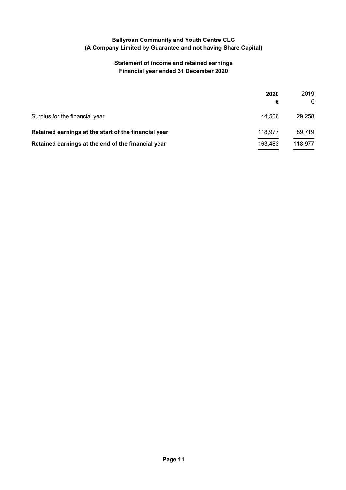# **Statement of income and retained earnings Financial year ended 31 December 2020**

|                                                      | 2020<br>€ | 2019<br>€ |
|------------------------------------------------------|-----------|-----------|
| Surplus for the financial year                       | 44.506    | 29.258    |
| Retained earnings at the start of the financial year | 118.977   | 89,719    |
| Retained earnings at the end of the financial year   | 163.483   | 118,977   |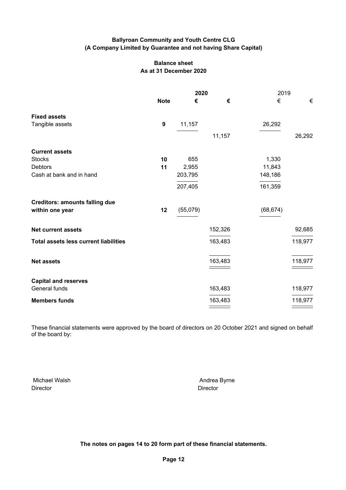# **Balance sheet As at 31 December 2020**

|                                              | 2020        |          | 2019    |           |         |
|----------------------------------------------|-------------|----------|---------|-----------|---------|
|                                              | <b>Note</b> | €        | €       | €         | €       |
| <b>Fixed assets</b>                          |             |          |         |           |         |
| Tangible assets                              | $9$         | 11,157   |         | 26,292    |         |
|                                              |             |          | 11,157  |           | 26,292  |
| <b>Current assets</b>                        |             |          |         |           |         |
| <b>Stocks</b>                                | 10          | 655      |         | 1,330     |         |
| <b>Debtors</b>                               | 11          | 2,955    |         | 11,843    |         |
| Cash at bank and in hand                     |             | 203,795  |         | 148,186   |         |
|                                              |             | 207,405  |         | 161,359   |         |
| <b>Creditors: amounts falling due</b>        |             |          |         |           |         |
| within one year                              | 12          | (55,079) |         | (68, 674) |         |
| <b>Net current assets</b>                    |             |          | 152,326 |           | 92,685  |
| <b>Total assets less current liabilities</b> |             |          | 163,483 |           | 118,977 |
| <b>Net assets</b>                            |             |          | 163,483 |           | 118,977 |
|                                              |             |          |         |           |         |
| <b>Capital and reserves</b>                  |             |          |         |           |         |
| General funds                                |             |          | 163,483 |           | 118,977 |
| <b>Members funds</b>                         |             |          | 163,483 |           | 118,977 |

These financial statements were approved by the board of directors on 20 October 2021 and signed on behalf of the board by:

Michael Walsh **Andrea Byrne** Director **Director** Director

**The notes on pages 14 to 20 form part of these financial statements.**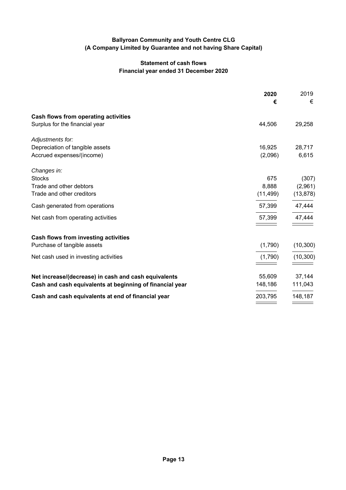# **Statement of cash flows Financial year ended 31 December 2020**

|                                                          | 2020<br>€ | 2019<br>€ |
|----------------------------------------------------------|-----------|-----------|
| Cash flows from operating activities                     |           |           |
| Surplus for the financial year                           | 44,506    | 29,258    |
| Adjustments for:                                         |           |           |
| Depreciation of tangible assets                          | 16,925    | 28,717    |
| Accrued expenses/(income)                                | (2,096)   | 6,615     |
| Changes in:                                              |           |           |
| <b>Stocks</b>                                            | 675       | (307)     |
| Trade and other debtors                                  | 8,888     | (2,961)   |
| Trade and other creditors                                | (11, 499) | (13, 878) |
| Cash generated from operations                           | 57,399    | 47,444    |
| Net cash from operating activities                       | 57,399    | 47,444    |
| <b>Cash flows from investing activities</b>              |           |           |
| Purchase of tangible assets                              | (1,790)   | (10, 300) |
| Net cash used in investing activities                    | (1,790)   | (10, 300) |
| Net increase/(decrease) in cash and cash equivalents     | 55,609    | 37,144    |
| Cash and cash equivalents at beginning of financial year | 148,186   | 111,043   |
| Cash and cash equivalents at end of financial year       | 203,795   | 148,187   |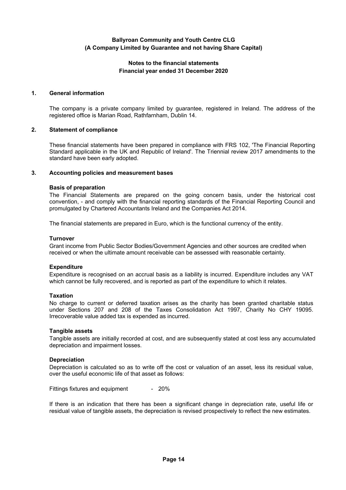### **Notes to the financial statements Financial year ended 31 December 2020**

### **1. General information**

The company is a private company limited by guarantee, registered in Ireland. The address of the registered office is Marian Road, Rathfarnham, Dublin 14.

### **2. Statement of compliance**

These financial statements have been prepared in compliance with FRS 102, 'The Financial Reporting Standard applicable in the UK and Republic of Ireland'. The Triennial review 2017 amendments to the standard have been early adopted.

### **3. Accounting policies and measurement bases**

### **Basis of preparation**

The Financial Statements are prepared on the going concern basis, under the historical cost convention, - and comply with the financial reporting standards of the Financial Reporting Council and promulgated by Chartered Accountants Ireland and the Companies Act 2014.

The financial statements are prepared in Euro, which is the functional currency of the entity.

### **Turnover**

Grant income from Public Sector Bodies/Government Agencies and other sources are credited when received or when the ultimate amount receivable can be assessed with reasonable certainty.

### **Expenditure**

Expenditure is recognised on an accrual basis as a liability is incurred. Expenditure includes any VAT which cannot be fully recovered, and is reported as part of the expenditure to which it relates.

### **Taxation**

No charge to current or deferred taxation arises as the charity has been granted charitable status under Sections 207 and 208 of the Taxes Consolidation Act 1997, Charity No CHY 19095. Irrecoverable value added tax is expended as incurred.

### **Tangible assets**

Tangible assets are initially recorded at cost, and are subsequently stated at cost less any accumulated depreciation and impairment losses.

### **Depreciation**

Depreciation is calculated so as to write off the cost or valuation of an asset, less its residual value, over the useful economic life of that asset as follows:

Fittings fixtures and equipment - 20%

If there is an indication that there has been a significant change in depreciation rate, useful life or residual value of tangible assets, the depreciation is revised prospectively to reflect the new estimates.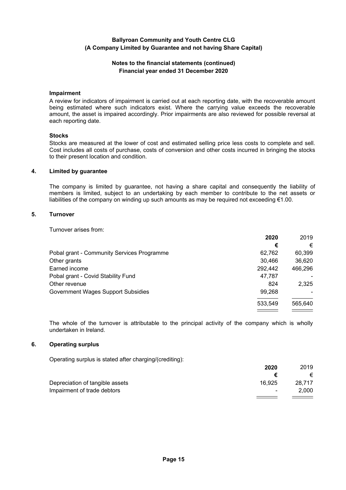## **Notes to the financial statements (continued) Financial year ended 31 December 2020**

### **Impairment**

A review for indicators of impairment is carried out at each reporting date, with the recoverable amount being estimated where such indicators exist. Where the carrying value exceeds the recoverable amount, the asset is impaired accordingly. Prior impairments are also reviewed for possible reversal at each reporting date.

#### **Stocks**

Stocks are measured at the lower of cost and estimated selling price less costs to complete and sell. Cost includes all costs of purchase, costs of conversion and other costs incurred in bringing the stocks to their present location and condition.

### **4. Limited by guarantee**

The company is limited by guarantee, not having a share capital and consequently the liability of members is limited, subject to an undertaking by each member to contribute to the net assets or liabilities of the company on winding up such amounts as may be required not exceeding €1.00.

#### **5. Turnover**

Turnover arises from:

|                                            | 2020    | 2019    |
|--------------------------------------------|---------|---------|
|                                            | €       | €       |
| Pobal grant - Community Services Programme | 62,762  | 60,399  |
| Other grants                               | 30,466  | 36,620  |
| Earned income                              | 292,442 | 466,296 |
| Pobal grant - Covid Stability Fund         | 47,787  |         |
| Other revenue                              | 824     | 2.325   |
| Government Wages Support Subsidies         | 99,268  |         |
|                                            | 533.549 | 565.640 |
|                                            |         |         |

The whole of the turnover is attributable to the principal activity of the company which is wholly undertaken in Ireland.

### **6. Operating surplus**

Operating surplus is stated after charging/(crediting):

|                                 | 2020           | 2019   |
|---------------------------------|----------------|--------|
|                                 |                | €      |
| Depreciation of tangible assets | 16.925         | 28.717 |
| Impairment of trade debtors     | $\blacksquare$ | 2.000  |
|                                 |                |        |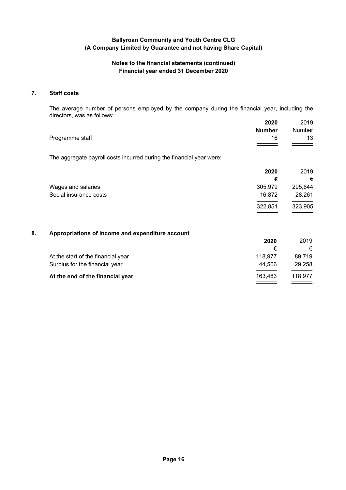## **Notes to the financial statements (continued) Financial year ended 31 December 2020**

## **7. Staff costs**

The average number of persons employed by the company during the financial year, including the directors, was as follows: **2020** 2019

|    |                                                                      | ∠∪∠           | <b>2010</b> |
|----|----------------------------------------------------------------------|---------------|-------------|
|    |                                                                      | <b>Number</b> | Number      |
|    | Programme staff                                                      | 16            | 13          |
|    |                                                                      |               |             |
|    | The aggregate payroll costs incurred during the financial year were: |               |             |
|    |                                                                      | 2020          | 2019        |
|    |                                                                      | €             | €           |
|    | Wages and salaries                                                   | 305,979       | 295,644     |
|    | Social insurance costs                                               | 16,872        | 28,261      |
|    |                                                                      | 322,851       | 323,905     |
|    |                                                                      |               |             |
| 8. | Appropriations of income and expenditure account                     |               |             |
|    |                                                                      | 2020          | 2019        |
|    |                                                                      | €             | €           |
|    | At the start of the financial year                                   | 118,977       | 89,719      |
|    | Surplus for the financial year                                       | 44,506        | 29,258      |
|    | At the end of the financial year                                     | 163,483       | 118,977     |
|    |                                                                      |               |             |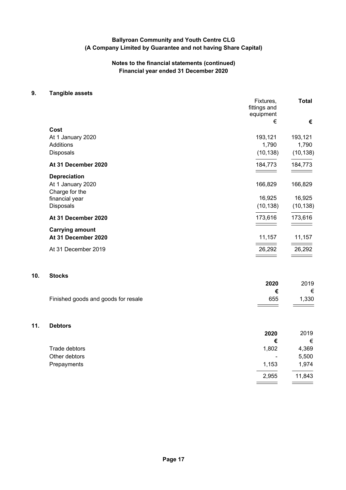# **Notes to the financial statements (continued) Financial year ended 31 December 2020**

## **9. Tangible assets**

|     |                                     | Fixtures,<br>fittings and<br>equipment | <b>Total</b>     |
|-----|-------------------------------------|----------------------------------------|------------------|
|     |                                     | €                                      | €                |
|     | Cost                                |                                        |                  |
|     | At 1 January 2020<br>Additions      | 193,121<br>1,790                       | 193,121<br>1,790 |
|     | Disposals                           | (10, 138)                              | (10, 138)        |
|     | At 31 December 2020                 | 184,773                                | 184,773          |
|     | <b>Depreciation</b>                 |                                        |                  |
|     | At 1 January 2020                   | 166,829                                | 166,829          |
|     | Charge for the<br>financial year    | 16,925                                 | 16,925           |
|     | Disposals                           | (10, 138)                              | (10, 138)        |
|     | At 31 December 2020                 | 173,616                                | 173,616          |
|     | <b>Carrying amount</b>              |                                        |                  |
|     | At 31 December 2020                 | 11,157                                 | 11,157           |
|     | At 31 December 2019                 | 26,292                                 | 26,292           |
|     |                                     |                                        |                  |
| 10. | <b>Stocks</b>                       | 2020                                   | 2019             |
|     |                                     | €                                      | €                |
|     | Finished goods and goods for resale | 655                                    | 1,330            |
|     |                                     |                                        |                  |
| 11. | <b>Debtors</b>                      |                                        |                  |
|     |                                     | 2020                                   | 2019             |
|     | Trade debtors                       | €<br>1,802                             | €                |
|     | Other debtors                       |                                        | 4,369<br>5,500   |
|     | Prepayments                         | 1,153                                  | 1,974            |
|     |                                     | 2,955                                  | 11,843           |
|     |                                     |                                        |                  |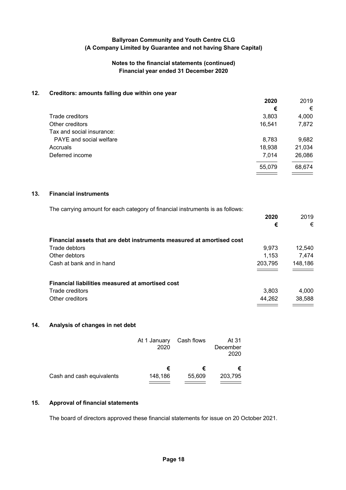## **Notes to the financial statements (continued) Financial year ended 31 December 2020**

## **12. Creditors: amounts falling due within one year**

|                           | 2020   | 2019   |
|---------------------------|--------|--------|
|                           | €      | €      |
| Trade creditors           | 3,803  | 4,000  |
| Other creditors           | 16,541 | 7,872  |
| Tax and social insurance: |        |        |
| PAYE and social welfare   | 8,783  | 9,682  |
| Accruals                  | 18,938 | 21,034 |
| Deferred income           | 7,014  | 26,086 |
|                           | 55,079 | 68,674 |
|                           |        |        |

## **13. Financial instruments**

The carrying amount for each category of financial instruments is as follows:

|                                                                       | 2020    | 2019    |
|-----------------------------------------------------------------------|---------|---------|
|                                                                       | €       | €       |
| Financial assets that are debt instruments measured at amortised cost |         |         |
| Trade debtors                                                         | 9,973   | 12,540  |
| Other debtors                                                         | 1.153   | 7,474   |
| Cash at bank and in hand                                              | 203,795 | 148,186 |
|                                                                       |         |         |
| Financial liabilities measured at amortised cost                      |         |         |
| Trade creditors                                                       | 3,803   | 4,000   |
| Other creditors                                                       | 44,262  | 38,588  |

## **14. Analysis of changes in net debt**

|                           | At 1 January<br>2020 | Cash flows | At 31<br>December<br>2020 |
|---------------------------|----------------------|------------|---------------------------|
|                           | €                    | €          |                           |
| Cash and cash equivalents | 148,186              | 55,609     | 203,795                   |

## **15. Approval of financial statements**

The board of directors approved these financial statements for issue on 20 October 2021.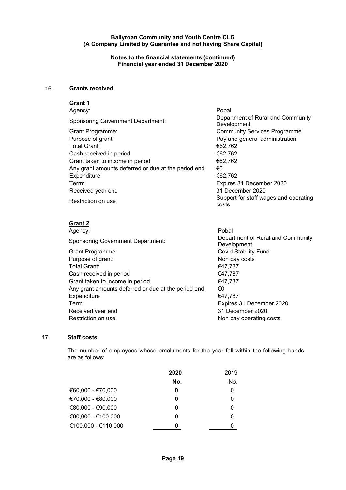### **Notes to the financial statements (continued) Financial year ended 31 December 2020**

### 16. **Grants received**

**Grant 1** 

| Agency:                                             | Pobal                                            |
|-----------------------------------------------------|--------------------------------------------------|
| <b>Sponsoring Government Department:</b>            | Department of Rural and Community<br>Development |
| <b>Grant Programme:</b>                             | <b>Community Services Programme</b>              |
| Purpose of grant:                                   | Pay and general administration                   |
| Total Grant:                                        | €62,762                                          |
| Cash received in period                             | €62,762                                          |
| Grant taken to income in period                     | €62,762                                          |
| Any grant amounts deferred or due at the period end | €0                                               |
| Expenditure                                         | €62,762                                          |
| Term:                                               | Expires 31 December 2020                         |
| Received year end                                   | 31 December 2020                                 |
| Restriction on use                                  | Support for staff wages and operating<br>costs   |

## **Grant 2**

Agency: **Pobal** Sponsoring Government Department: Department of Rural and Community Development Grant Programme: Covid Stability Fund Purpose of grant: Non pay costs Total Grant: <del>■</del>  $€47.787$ Cash received in period  $\epsilon$ 47,787 Grant taken to income in period **€47,787** Any grant amounts deferred or due at the period end  $\epsilon$ 0 Expenditure  $\epsilon$ 47,787 Term: Expires 31 December 2020 Received year end 31 December 2020 Restriction on use Non pay operating costs

## 17. **Staff costs**

The number of employees whose emoluments for the year fall within the following bands are as follows:

|                     | 2020 | 2019 |
|---------------------|------|------|
|                     | No.  | No.  |
| €60,000 - €70,000   | 0    | 0    |
| €70,000 - €80,000   | 0    | 0    |
| €80,000 - €90,000   | 0    | 0    |
| €90,000 - €100,000  | 0    | O    |
| €100,000 - €110,000 | n    |      |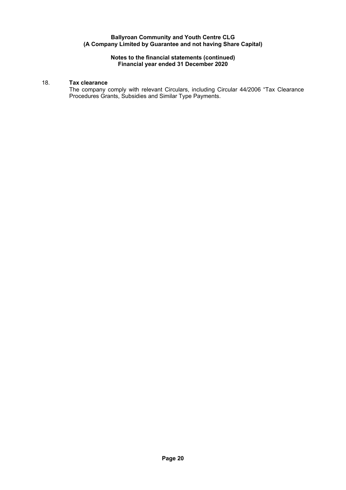## **Notes to the financial statements (continued) Financial year ended 31 December 2020**

## 18. **Tax clearance**

The company comply with relevant Circulars, including Circular 44/2006 "Tax Clearance Procedures Grants, Subsidies and Similar Type Payments.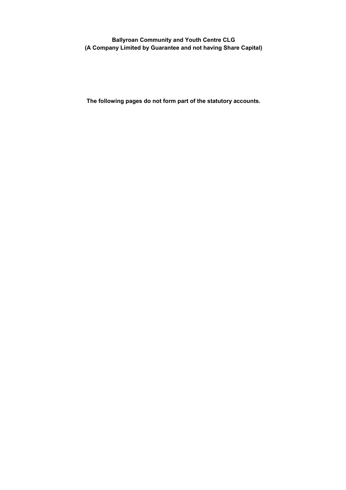**The following pages do not form part of the statutory accounts.**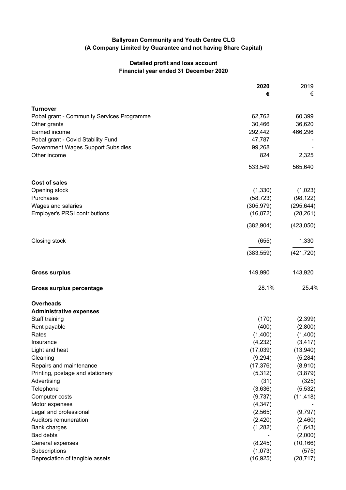# **Detailed profit and loss account Financial year ended 31 December 2020**

|                                            | 2020       | 2019       |
|--------------------------------------------|------------|------------|
|                                            | €          | €          |
| <b>Turnover</b>                            |            |            |
| Pobal grant - Community Services Programme | 62,762     | 60,399     |
| Other grants                               | 30,466     | 36,620     |
| Earned income                              | 292,442    | 466,296    |
| Pobal grant - Covid Stability Fund         | 47,787     |            |
| <b>Government Wages Support Subsidies</b>  | 99,268     |            |
| Other income                               | 824        | 2,325      |
|                                            | 533,549    | 565,640    |
|                                            |            |            |
| <b>Cost of sales</b>                       |            |            |
| Opening stock                              | (1, 330)   | (1,023)    |
| Purchases                                  | (58, 723)  | (98, 122)  |
| Wages and salaries                         | (305, 979) | (295, 644) |
| <b>Employer's PRSI contributions</b>       | (16, 872)  | (28, 261)  |
|                                            | (382, 904) | (423,050)  |
| Closing stock                              | (655)      | 1,330      |
|                                            | (383, 559) | (421, 720) |
| <b>Gross surplus</b>                       | 149,990    | 143,920    |
|                                            |            |            |
| Gross surplus percentage                   | 28.1%      | 25.4%      |
| <b>Overheads</b>                           |            |            |
| <b>Administrative expenses</b>             |            |            |
| Staff training                             | (170)      | (2,399)    |
| Rent payable                               | (400)      | (2,800)    |
| Rates                                      | (1,400)    | (1,400)    |
| Insurance                                  | (4, 232)   | (3, 417)   |
| Light and heat                             | (17,039)   | (13,940)   |
| Cleaning                                   | (9,294)    | (5,284)    |
| Repairs and maintenance                    | (17, 376)  | (8,910)    |
| Printing, postage and stationery           | (5,312)    | (3,879)    |
| Advertising                                | (31)       | (325)      |
| Telephone                                  | (3,636)    | (5, 532)   |
| Computer costs                             | (9,737)    | (11, 418)  |
| Motor expenses                             | (4, 347)   |            |
| Legal and professional                     | (2, 565)   | (9, 797)   |
| Auditors remuneration                      | (2, 420)   | (2,460)    |
| Bank charges                               | (1, 282)   | (1,643)    |
| <b>Bad debts</b>                           |            | (2,000)    |
| General expenses                           | (8, 245)   | (10, 166)  |
| Subscriptions                              | (1,073)    | (575)      |
| Depreciation of tangible assets            | (16, 925)  | (28, 717)  |
|                                            |            |            |